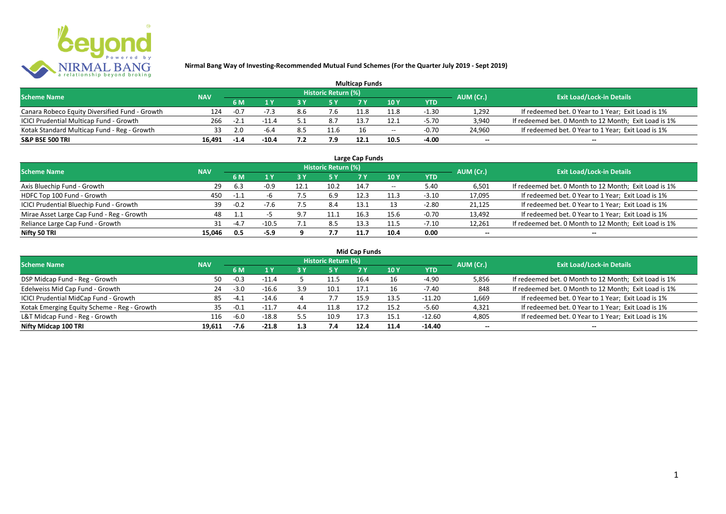

| <b>Multicap Funds</b>                          |            |        |         |     |                            |      |                          |         |                          |                                                       |  |  |
|------------------------------------------------|------------|--------|---------|-----|----------------------------|------|--------------------------|---------|--------------------------|-------------------------------------------------------|--|--|
| <b>Scheme Name</b>                             | <b>NAV</b> |        |         |     | <b>Historic Return (%)</b> |      |                          |         | AUM (Cr.)                | <b>Exit Load/Lock-in Details</b>                      |  |  |
|                                                |            | 6 M    |         |     |                            |      | 10Y                      | YTD     |                          |                                                       |  |  |
| Canara Robeco Equity Diversified Fund - Growth | 124        | $-0.7$ | -73     | 8.6 | '.ხ                        |      | 11.8                     | $-1.30$ | 1,292                    | If redeemed bet. 0 Year to 1 Year; Exit Load is 1%    |  |  |
| ICICI Prudential Multicap Fund - Growth        | 266        | $-2.1$ | $-11.4$ |     | 8.7                        | 13.  | 12.1                     | $-5.70$ | 3,940                    | If redeemed bet. 0 Month to 12 Month; Exit Load is 1% |  |  |
| Kotak Standard Multicap Fund - Reg - Growth    |            |        | -6.4    | 8.5 | 11.6                       |      | $\overline{\phantom{a}}$ | $-0.70$ | 24,960                   | If redeemed bet. 0 Year to 1 Year; Exit Load is 1%    |  |  |
| S&P BSE 500 TRI                                | 16.491     | $-1.4$ | -10.4   |     | 7.9                        | 12.1 |                          | $-4.00$ | $\overline{\phantom{a}}$ | $\overline{\phantom{a}}$                              |  |  |

| Large Cap Funds<br>Historic Return (%)    |            |        |         |      |      |      |       |            |                          |                                                       |  |  |  |
|-------------------------------------------|------------|--------|---------|------|------|------|-------|------------|--------------------------|-------------------------------------------------------|--|--|--|
| <b>Scheme Name</b>                        | <b>NAV</b> |        |         |      |      |      |       |            | AUM (Cr.)                | <b>Exit Load/Lock-in Details</b>                      |  |  |  |
|                                           |            | 6 M    | 1 Y     | ט כ  | 5 Y  |      | 10Y   | <b>YTD</b> |                          |                                                       |  |  |  |
| Axis Bluechip Fund - Growth               | 29         | 6.3    | -0.9    | 12.1 | 10.2 | 14.7 | $- -$ | 5.40       | 6,501                    | If redeemed bet. 0 Month to 12 Month; Exit Load is 1% |  |  |  |
| HDFC Top 100 Fund - Growth                | 450        | $-1.1$ |         |      | 6.9  | 12.3 | 11.3  | $-3.10$    | 17,095                   | If redeemed bet. 0 Year to 1 Year; Exit Load is 1%    |  |  |  |
| ICICI Prudential Bluechip Fund - Growth   | 39         | $-0.2$ | $-7.6$  |      | 8.4  | 13.1 |       | $-2.80$    | 21,125                   | If redeemed bet. 0 Year to 1 Year; Exit Load is 1%    |  |  |  |
| Mirae Asset Large Cap Fund - Reg - Growth | 48         |        |         | a 7  | 11.1 | 16.3 | 15.6  | $-0.70$    | 13,492                   | If redeemed bet. 0 Year to 1 Year; Exit Load is 1%    |  |  |  |
| Reliance Large Cap Fund - Growth          |            | $-4.7$ | $-10.5$ |      | 8.5  | 13.3 |       | $-7.10$    | 12,261                   | If redeemed bet. 0 Month to 12 Month; Exit Load is 1% |  |  |  |
| Nifty 50 TRI                              | 15.046     | 0.5    | -5.9    |      | 7.7  | 11.7 | 10.4  | 0.00       | $\overline{\phantom{a}}$ | $\overline{\phantom{a}}$                              |  |  |  |

|  | <b>Mid Cap Funds</b> |
|--|----------------------|

| <b>Scheme Name</b>                          | <b>NAV</b> |        |         |     | Historic Return (%) |      |      |            | AUM (Cr.)                | <b>Exit Load/Lock-in Details</b>                      |
|---------------------------------------------|------------|--------|---------|-----|---------------------|------|------|------------|--------------------------|-------------------------------------------------------|
|                                             |            | 6 M    | 1 V     |     | 5 Y                 |      | 10 Y | <b>YTD</b> |                          |                                                       |
| DSP Midcap Fund - Reg - Growth              | 50         | $-0.3$ | $-11.4$ |     | 11.5                | 16.4 | 16   | $-4.90$    | 5,856                    | If redeemed bet. 0 Month to 12 Month; Exit Load is 1% |
| Edelweiss Mid Cap Fund - Growth             | 24         | -3.0   | $-16.6$ |     | 10.1                | 17.1 |      | $-7.40$    | 848                      | If redeemed bet. 0 Month to 12 Month; Exit Load is 1% |
| ICICI Prudential MidCap Fund - Growth       | 85         | -4.1   | $-14.6$ |     |                     | 15.9 | 13.5 | $-11.20$   | 1,669                    | If redeemed bet. 0 Year to 1 Year; Exit Load is 1%    |
| Kotak Emerging Equity Scheme - Reg - Growth | 35         | -0.1   | $-11.$  |     | 11.8                | 17.2 | 15.2 | $-5.60$    | 4,321                    | If redeemed bet. 0 Year to 1 Year; Exit Load is 1%    |
| L&T Midcap Fund - Reg - Growth              | 116        | $-6.0$ | $-18.8$ |     | 10.9                | 17.3 | 15.1 | $-12.60$   | 4,805                    | If redeemed bet. 0 Year to 1 Year; Exit Load is 1%    |
| Nifty Midcap 100 TRI                        | 19.611     | -7.6   | $-21.8$ | 1.3 | 7.4                 | 12.4 | 11.4 | -14.40     | $\overline{\phantom{a}}$ | $\overline{\phantom{a}}$                              |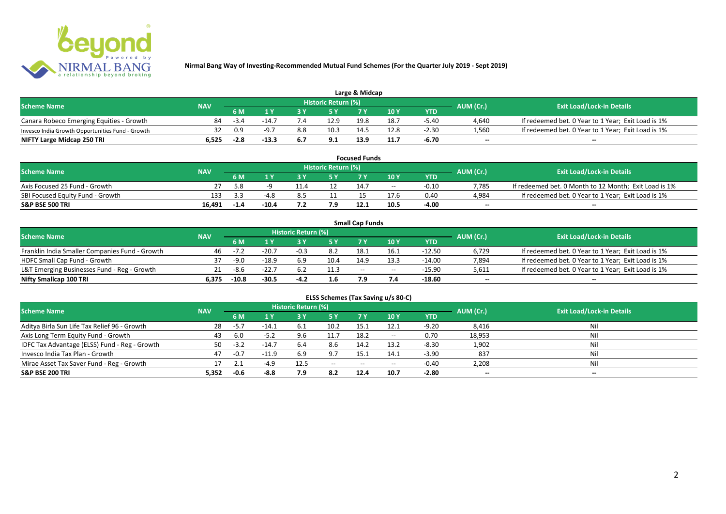

| Large & Midcap                                   |                   |        |         |     |                     |      |      |         |           |                                                    |  |  |
|--------------------------------------------------|-------------------|--------|---------|-----|---------------------|------|------|---------|-----------|----------------------------------------------------|--|--|
| <b>Scheme Name</b>                               |                   |        |         |     | Historic Return (%) |      |      |         | AUM (Cr.) | <b>Exit Load/Lock-in Details</b>                   |  |  |
|                                                  | <b>NAV</b><br>6 M |        |         |     |                     | 10Y  | YTD  |         |           |                                                    |  |  |
| Canara Robeco Emerging Equities - Growth         |                   | $-3.4$ | $-14.$  |     | 12.9                | 19.8 | 18.  | $-5.40$ | 4,640     | If redeemed bet. 0 Year to 1 Year; Exit Load is 1% |  |  |
| Invesco India Growth Opportunities Fund - Growth |                   | 0.9    | -9.7    | 8.8 | 10.3                | 14.5 | 12.8 | $-2.30$ | 1,560     | If redeemed bet. 0 Year to 1 Year; Exit Load is 1% |  |  |
| NIFTY Large Midcap 250 TRI                       | 6.525             | $-2.8$ | $-13.3$ | 6.7 | 9.1                 | 13.9 |      | -6.70   | $-$       | $- -$                                              |  |  |

| <b>Focused Funds</b>             |            |           |                   |     |                     |                 |       |         |                          |                                                       |  |  |
|----------------------------------|------------|-----------|-------------------|-----|---------------------|-----------------|-------|---------|--------------------------|-------------------------------------------------------|--|--|
| <b>Scheme Name</b>               | <b>NAV</b> |           |                   |     | Historic Return (%) |                 |       |         | AUM (Cr.)                | <b>Exit Load/Lock-in Details</b>                      |  |  |
|                                  |            | <b>6M</b> | 10 Y<br><b>EV</b> |     | <b>YTD</b>          |                 |       |         |                          |                                                       |  |  |
| Axis Focused 25 Fund - Growth    |            | 5.8       |                   |     |                     |                 | $- -$ | $-0.10$ | 7.785                    | If redeemed bet. 0 Month to 12 Month; Exit Load is 1% |  |  |
| SBI Focused Equity Fund - Growth | 133        | ર ર       | -48               | 8.5 |                     |                 |       | 0.40    | 4,984                    | If redeemed bet. 0 Year to 1 Year; Exit Load is 1%    |  |  |
| <b>S&amp;P BSE 500 TRI</b>       | 16.491     | $-1.4$    | $-10.4$           |     |                     | 12 <sub>1</sub> | 10.5  | -4.00   | $\overline{\phantom{a}}$ | $- -$                                                 |  |  |

|                                                |       |                           |         |                     |      | <b>Small Cap Funds</b> |                                       |          |                          |                                                    |
|------------------------------------------------|-------|---------------------------|---------|---------------------|------|------------------------|---------------------------------------|----------|--------------------------|----------------------------------------------------|
| <b>Scheme Name</b>                             |       |                           |         | Historic Return (%) |      |                        |                                       |          | AUM (Cr.)                | <b>Exit Load/Lock-in Details</b>                   |
|                                                |       | <b>NAV</b><br>10 Y<br>6 M |         |                     | YTD  |                        |                                       |          |                          |                                                    |
| Franklin India Smaller Companies Fund - Growth | 46    | -7.2                      | $-20.7$ | $-0.3$              | 8.2  | 18.1                   | 16.1                                  | $-12.50$ | 6,729                    | If redeemed bet. 0 Year to 1 Year; Exit Load is 1% |
| HDFC Small Cap Fund - Growth                   | 37    | -9.0                      | $-18.9$ | 6.9                 | 10.4 | 14.9                   | 13.3                                  | $-14.00$ | 7,894                    | If redeemed bet. 0 Year to 1 Year; Exit Load is 1% |
| L&T Emerging Businesses Fund - Reg - Growth    |       | -8.6                      | $-22.7$ |                     | 11.3 | $-$                    | $\hspace{0.05cm}$ – $\hspace{0.05cm}$ | -15.90   | 5,611                    | If redeemed bet. 0 Year to 1 Year; Exit Load is 1% |
| Nifty Smallcap 100 TRI                         | 6.375 | $-10.8$                   | $-30.5$ | $-4.2$              | 1.6  | 7.9                    |                                       | -18.60   | $\overline{\phantom{a}}$ | $-$                                                |

| ELSS Schemes (Tax Saving u/s 80-C)            |            |        |         |                            |                                       |           |       |            |                          |                                  |  |  |
|-----------------------------------------------|------------|--------|---------|----------------------------|---------------------------------------|-----------|-------|------------|--------------------------|----------------------------------|--|--|
| <b>Scheme Name</b>                            | <b>NAV</b> |        |         | <b>Historic Return (%)</b> |                                       |           |       |            | AUM (Cr.)                | <b>Exit Load/Lock-in Details</b> |  |  |
|                                               |            | 6 M    | 1 Y     | 3 Y                        | 75 Y                                  | <b>7Y</b> | 10Y   | <b>YTD</b> |                          |                                  |  |  |
| Aditya Birla Sun Life Tax Relief 96 - Growth  | -28        | $-5.7$ | $-14.1$ | 6.1                        | 10.2                                  | 15.1      | 12.1  | $-9.20$    | 8,416                    | Nil                              |  |  |
| Axis Long Term Equity Fund - Growth           | 43         | 6.0    | $-5.2$  |                            | 11.7                                  | 18.2      | $- -$ | 0.70       | 18,953                   | Nil                              |  |  |
| IDFC Tax Advantage (ELSS) Fund - Reg - Growth | 50         | $-3.2$ | $-14.7$ | 6.4                        | 8.6                                   | 14.2      | 13.2  | $-8.30$    | 1,902                    | Nil                              |  |  |
| Invesco India Tax Plan - Growth               | 47         | $-0.7$ | $-11.9$ | 6.9                        | 9.7                                   | L5.1      | 14.1  | $-3.90$    | 837                      | Nil                              |  |  |
| Mirae Asset Tax Saver Fund - Reg - Growth     |            |        | -4 9    | 12.5                       | $\hspace{0.05cm}$ – $\hspace{0.05cm}$ | $-$       | $- -$ | $-0.40$    | 2,208                    | Nil                              |  |  |
| <b>S&amp;P BSE 200 TRI</b>                    | 5,352      | $-0.6$ | $-8.8$  | 7.9                        | 8.2                                   | 12.4      | 10.7  | $-2.80$    | $\overline{\phantom{a}}$ | $\overline{\phantom{a}}$         |  |  |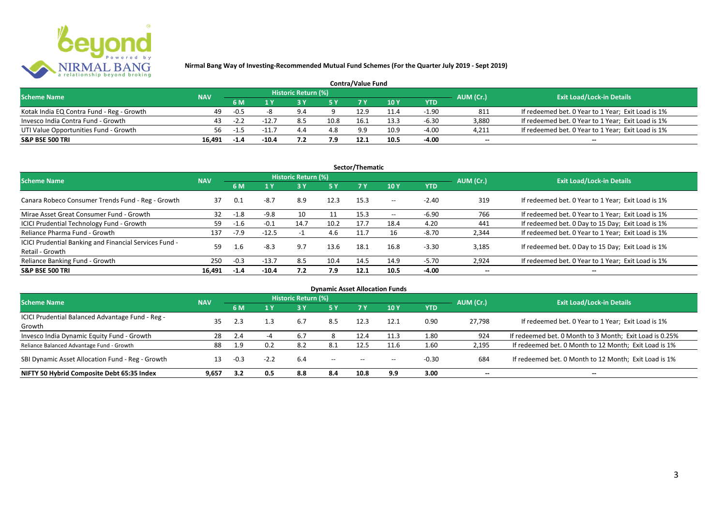

| <b>Contra/Value Fund</b>                  |            |        |         |                     |      |      |      |         |           |                                                    |  |  |
|-------------------------------------------|------------|--------|---------|---------------------|------|------|------|---------|-----------|----------------------------------------------------|--|--|
| <b>Scheme Name</b>                        | <b>NAV</b> |        |         | Historic Return (%) |      |      |      |         | AUM (Cr.) | <b>Exit Load/Lock-in Details</b>                   |  |  |
|                                           |            | 6 M    |         |                     |      |      | 10 Y | YTD     |           |                                                    |  |  |
| Kotak India EQ Contra Fund - Reg - Growth | 49         | $-0.5$ |         |                     |      | 12.9 |      | $-1.90$ | 811       | If redeemed bet. 0 Year to 1 Year; Exit Load is 1% |  |  |
| Invesco India Contra Fund - Growth        | 43.        | $-2.2$ | $-12.$  |                     | 10.8 | 16.  | 13.3 | $-6.30$ | 3.880     | If redeemed bet. 0 Year to 1 Year; Exit Load is 1% |  |  |
| UTI Value Opportunities Fund - Growth     | 56         | -1.5   | $-11.$  | 4.4                 | 4.8  | 9.9  | 10.9 | $-4.00$ | 4,211     | If redeemed bet. 0 Year to 1 Year; Exit Load is 1% |  |  |
| S&P BSE 500 TRI                           | 16.491     | -1.4   | $-10.4$ |                     | 7.9  |      | 10.5 | $-4.00$ | $\sim$    | $\overline{\phantom{a}}$                           |  |  |

|                                                                           |            |        |         |                     |           | Sector/Thematic |       |            |                          |                                                    |
|---------------------------------------------------------------------------|------------|--------|---------|---------------------|-----------|-----------------|-------|------------|--------------------------|----------------------------------------------------|
| <b>Scheme Name</b>                                                        | <b>NAV</b> |        |         | Historic Return (%) |           |                 |       |            | AUM (Cr.)                | <b>Exit Load/Lock-in Details</b>                   |
|                                                                           |            | 6 M    | 1 Y     |                     | <b>5Y</b> | <b>7Y</b>       | 10Y   | <b>YTD</b> |                          |                                                    |
| Canara Robeco Consumer Trends Fund - Reg - Growth                         | 37         | 0.1    | $-8.7$  | 8.9                 | 12.3      | 15.3            | $- -$ | $-2.40$    | 319                      | If redeemed bet. 0 Year to 1 Year; Exit Load is 1% |
| Mirae Asset Great Consumer Fund - Growth                                  | 32         | $-1.8$ | $-9.8$  | 10                  |           | 15.3            | $- -$ | $-6.90$    | 766                      | If redeemed bet. 0 Year to 1 Year; Exit Load is 1% |
| ICICI Prudential Technology Fund - Growth                                 | 59         | -1.6   | $-0.1$  | 14.7                | 10.2      | 17.7            | 18.4  | 4.20       | 441                      | If redeemed bet. 0 Day to 15 Day; Exit Load is 1%  |
| Reliance Pharma Fund - Growth                                             | 137        | $-7.9$ | $-12.5$ |                     | 4.6       | 11.7            | 16    | -8.70      | 2,344                    | If redeemed bet. 0 Year to 1 Year; Exit Load is 1% |
| ICICI Prudential Banking and Financial Services Fund -<br>Retail - Growth | 59         | 1.6    | $-8.3$  | 9.7                 | 13.6      | 18.1            | 16.8  | $-3.30$    | 3.185                    | If redeemed bet. 0 Day to 15 Day; Exit Load is 1%  |
| Reliance Banking Fund - Growth                                            | 250        | $-0.3$ | $-13.7$ | 8.5                 | 10.4      | 14.5            | 14.9  | $-5.70$    | 2,924                    | If redeemed bet. 0 Year to 1 Year; Exit Load is 1% |
| <b>S&amp;P BSE 500 TRI</b>                                                | 16.491     | $-1.4$ | $-10.4$ | 7.2                 | 7.9       | 12.1            | 10.5  | -4.00      | $\overline{\phantom{a}}$ | $- -$                                              |

|                                                  |            |                                                      |        |                     |                          |      | <b>Dynamic Asset Allocation Funds</b> |         |                          |                                                         |
|--------------------------------------------------|------------|------------------------------------------------------|--------|---------------------|--------------------------|------|---------------------------------------|---------|--------------------------|---------------------------------------------------------|
| <b>Scheme Name</b>                               | <b>NAV</b> |                                                      |        | Historic Return (%) |                          |      |                                       |         | AUM (Cr.)                | <b>Exit Load/Lock-in Details</b>                        |
|                                                  |            | 10 Y<br><b>YTD</b><br><b>5Y</b><br>6 M<br>3 Y<br>1 Y |        |                     |                          |      |                                       |         |                          |                                                         |
| ICICI Prudential Balanced Advantage Fund - Reg - |            |                                                      |        |                     |                          |      |                                       |         |                          |                                                         |
| Growth                                           | 35         | 2.3                                                  | 1.3    | 6.7                 | 8.5                      | 12.3 | 12.1                                  | 0.90    | 27,798                   | If redeemed bet. 0 Year to 1 Year; Exit Load is 1%      |
| Invesco India Dynamic Equity Fund - Growth       | 28         | 2.4                                                  |        | 6.7                 |                          | 12.4 | 11.3                                  | 1.80    | 924                      | If redeemed bet. 0 Month to 3 Month; Exit Load is 0.25% |
| Reliance Balanced Advantage Fund - Growth        | 88         | 1.9                                                  | 0.2    | 8.2                 | 8.1                      |      | 11.6                                  | 1.60    | 2,195                    | If redeemed bet. 0 Month to 12 Month; Exit Load is 1%   |
| SBI Dynamic Asset Allocation Fund - Reg - Growth | 13         | $-0.3$                                               | $-2.2$ | 6.4                 | $\overline{\phantom{a}}$ |      | $\hspace{0.05cm}$ – $\hspace{0.05cm}$ | $-0.30$ | 684                      | If redeemed bet. 0 Month to 12 Month; Exit Load is 1%   |
| NIFTY 50 Hybrid Composite Debt 65:35 Index       | 9,657      | 3.2                                                  | 0.5    | 8.8                 | 8.4                      | 10.8 | 9.9                                   | 3.00    | $\overline{\phantom{a}}$ | $\!-$                                                   |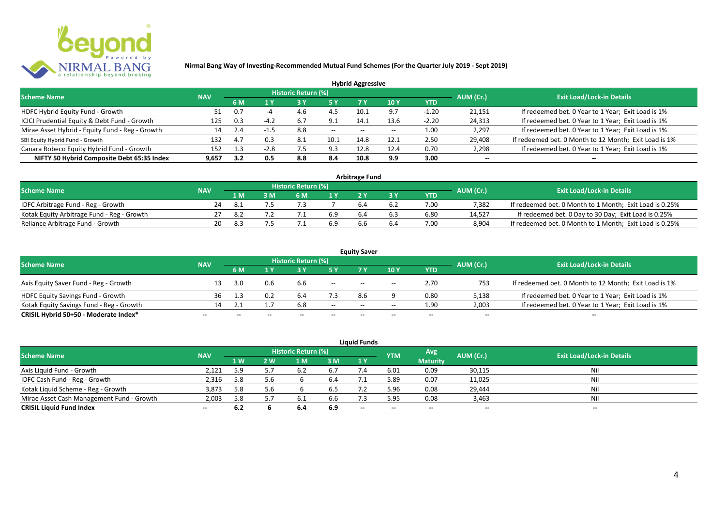

|                                                 |            |     |        |                            |       | <b>Hybrid Aggressive</b> |      |         |                          |                                                       |
|-------------------------------------------------|------------|-----|--------|----------------------------|-------|--------------------------|------|---------|--------------------------|-------------------------------------------------------|
| <b>Scheme Name</b>                              | <b>NAV</b> |     |        | <b>Historic Return (%)</b> |       |                          |      |         | AUM (Cr.)                | <b>Exit Load/Lock-in Details</b>                      |
|                                                 | 6 M        | 1 Y |        |                            | 7 Y   | 10Y                      | YTD  |         |                          |                                                       |
| HDFC Hybrid Equity Fund - Growth                | 51.        | 0.7 |        | 4.b                        |       | 10.1                     | 9.7  | $-1.20$ | 21,151                   | If redeemed bet. 0 Year to 1 Year; Exit Load is 1%    |
| ICICI Prudential Equity & Debt Fund - Growth    | 125        | 0.3 |        |                            | 9.1   | 14.1                     | 13.6 | $-2.20$ | 24,313                   | If redeemed bet. 0 Year to 1 Year; Exit Load is 1%    |
| Mirae Asset Hybrid - Equity Fund - Reg - Growth | 14         | 2.4 | -1.5   | 8.8                        | $- -$ | $- -$                    |      | 1.00    | 2,297                    | If redeemed bet. 0 Year to 1 Year; Exit Load is 1%    |
| SBI Equity Hybrid Fund - Growth                 | 132        | 4.7 | 0.3    | 8.1                        | 10.1  | 14.8                     | 12.1 | 2.50    | 29,408                   | If redeemed bet. 0 Month to 12 Month; Exit Load is 1% |
| Canara Robeco Equity Hybrid Fund - Growth       | 152        |     | $-2.8$ |                            | 9.3   | 12.8                     | 12.4 | 0.70    | 2,298                    | If redeemed bet. 0 Year to 1 Year; Exit Load is 1%    |
| NIFTY 50 Hybrid Composite Debt 65:35 Index      | 9,657      | 3.2 | 0.5    | 8.8                        | 8.4   | 10.8                     | 9.9  | 3.00    | $\overline{\phantom{a}}$ | $- -$                                                 |

| <b>Arbitrage Fund</b>                      |            |     |  |                     |     |  |     |            |           |                                                         |  |  |  |
|--------------------------------------------|------------|-----|--|---------------------|-----|--|-----|------------|-----------|---------------------------------------------------------|--|--|--|
| <b>Scheme Name</b>                         | <b>NAV</b> |     |  | Historic Return (%) |     |  |     |            | AUM (Cr.) | <b>Exit Load/Lock-in Details</b>                        |  |  |  |
|                                            |            | 1 M |  | 6 M                 |     |  |     | <b>YTD</b> |           |                                                         |  |  |  |
| IDFC Arbitrage Fund - Reg - Growth         | 24         |     |  |                     |     |  | ხ.∠ | 7.00       | 7.382     | If redeemed bet. 0 Month to 1 Month; Exit Load is 0.25% |  |  |  |
| Kotak Equity Arbitrage Fund - Reg - Growth |            |     |  |                     | 6.9 |  | 6.3 | 6.80       | 14.527    | If redeemed bet. 0 Day to 30 Day; Exit Load is 0.25%    |  |  |  |
| Reliance Arbitrage Fund - Growth           | 20         | 8.3 |  |                     | 6.9 |  | b.4 | 7.00       | 8.904     | If redeemed bet. 0 Month to 1 Month; Exit Load is 0.25% |  |  |  |

|                                          |                          |              |       |                     |        | <b>Equity Saver</b> |                                       |                          |                          |                                                       |
|------------------------------------------|--------------------------|--------------|-------|---------------------|--------|---------------------|---------------------------------------|--------------------------|--------------------------|-------------------------------------------------------|
| <b>Scheme Name</b>                       | <b>NAV</b>               |              |       | Historic Return (%) |        |                     |                                       |                          | AUM (Cr.)                | <b>Exit Load/Lock-in Details</b>                      |
|                                          |                          | 6 M          |       |                     |        |                     | 10 Y                                  | <b>YTD</b>               |                          |                                                       |
| Axis Equity Saver Fund - Reg - Growth    |                          | 3.0          | 0.6   | b.b                 | $- -$  | $- -$               | $\overline{\phantom{a}}$              | 2.70                     | 753                      | If redeemed bet. 0 Month to 12 Month; Exit Load is 1% |
| <b>HDFC Equity Savings Fund - Growth</b> | 36                       |              | 0.2   |                     |        | 8.6                 |                                       | 0.80                     | 5,138                    | If redeemed bet. 0 Year to 1 Year; Exit Load is 1%    |
| Kotak Equity Savings Fund - Reg - Growth |                          |              |       | 6.8                 | $- -$  | $- -$               | $\hspace{0.05cm}$ – $\hspace{0.05cm}$ | 1.90                     | 2,003                    | If redeemed bet. 0 Year to 1 Year; Exit Load is 1%    |
| CRISIL Hybrid 50+50 - Moderate Index*    | $\overline{\phantom{a}}$ | $\mathbf{m}$ | $- -$ | $- -$               | $\sim$ | $- -$               | $- -$                                 | $\overline{\phantom{a}}$ | $\overline{\phantom{a}}$ | $- -$                                                 |

| <b>Liquid Funds</b>                       |            |      |     |                     |     |       |            |                          |           |                                  |  |  |  |  |
|-------------------------------------------|------------|------|-----|---------------------|-----|-------|------------|--------------------------|-----------|----------------------------------|--|--|--|--|
| <b>Scheme Name</b>                        | <b>NAV</b> |      |     | Historic Return (%) |     |       | <b>YTM</b> | Avg                      | AUM (Cr.) | <b>Exit Load/Lock-in Details</b> |  |  |  |  |
|                                           |            | 1 W. | 2 W | 1 M                 | 3 M | 1Y    |            | <b>Maturity</b>          |           |                                  |  |  |  |  |
| Axis Liquid Fund - Growth                 | 2,121      | 5.9  |     |                     | 6.7 |       | 6.01       | 0.09                     | 30,115    | Nil                              |  |  |  |  |
| IDFC Cash Fund - Reg - Growth             | 2,316      | 5.8  | 5.6 |                     | 6.4 |       | 5.89       | 0.07                     | 11,025    | Nil                              |  |  |  |  |
| Kotak Liquid Scheme - Reg - Growth        | 3,873      | 5.8  | 5.6 |                     | 6.5 |       | 5.96       | 0.08                     | 29,444    | Nil                              |  |  |  |  |
| Mirae Asset Cash Management Fund - Growth | 2,003      | 5.8  |     |                     | 6.6 |       | 5.95       | 0.08                     | 3,463     | Nil                              |  |  |  |  |
| <b>CRISIL Liquid Fund Index</b>           | $\sim$     | 6.2  |     | 6.4                 | 6.9 | $- -$ | $- -$      | $\overline{\phantom{a}}$ | --        | $- -$                            |  |  |  |  |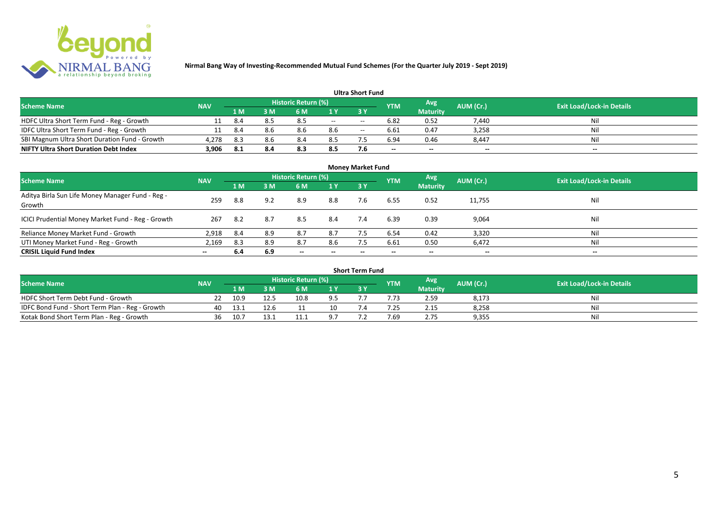

| <b>Ultra Short Fund</b>                       |            |       |      |                            |     |       |                          |                          |                          |                                  |  |  |  |  |
|-----------------------------------------------|------------|-------|------|----------------------------|-----|-------|--------------------------|--------------------------|--------------------------|----------------------------------|--|--|--|--|
| <b>Scheme Name</b>                            | <b>NAV</b> |       |      | <b>Historic Return (%)</b> |     |       | <b>YTM</b>               | Avg                      | AUM (Cr.)                | <b>Exit Load/Lock-in Details</b> |  |  |  |  |
|                                               |            | '1 M. | 8 M' | 6 M                        |     | 3 Y   |                          | <b>Maturity</b>          |                          |                                  |  |  |  |  |
| HDFC Ultra Short Term Fund - Reg - Growth     |            | 8.4   |      | 8.5                        | $-$ | $- -$ | 6.82                     | 0.52                     | 7,440                    | Nil                              |  |  |  |  |
| IDFC Ultra Short Term Fund - Reg - Growth     |            | 8.4   |      | 8.6                        | 8.6 | $- -$ | 6.61                     | 0.47                     | 3,258                    | Nil                              |  |  |  |  |
| SBI Magnum Ultra Short Duration Fund - Growth | 4,278      | 8.3   | 8.6  | 8.4                        | 8.5 |       | 6.94                     | 0.46                     | 8,447                    | Nil                              |  |  |  |  |
| <b>NIFTY Ultra Short Duration Debt Index</b>  | 3,906      | 8.1   | 8.4  | 8.3                        | 8.5 | 7.6   | $\overline{\phantom{a}}$ | $\overline{\phantom{a}}$ | $\overline{\phantom{a}}$ | $\overline{\phantom{a}}$         |  |  |  |  |

| <b>Money Market Fund</b>                                   |            |      |     |                            |                          |           |            |                 |                          |                                  |  |  |  |
|------------------------------------------------------------|------------|------|-----|----------------------------|--------------------------|-----------|------------|-----------------|--------------------------|----------------------------------|--|--|--|
| <b>Scheme Name</b>                                         | <b>NAV</b> |      |     | <b>Historic Return (%)</b> |                          |           | <b>YTM</b> | Avg             | AUM (Cr.)                | <b>Exit Load/Lock-in Details</b> |  |  |  |
|                                                            |            | 1 M  | 3M  | 6 M                        | 1Y                       | <b>3Y</b> |            | <b>Maturity</b> |                          |                                  |  |  |  |
| Aditya Birla Sun Life Money Manager Fund - Reg -<br>Growth | 259        | 8.8  | 9.2 | 8.9                        | 8.8                      | 7.6       | 6.55       | 0.52            | 11,755                   | Nil                              |  |  |  |
| ICICI Prudential Money Market Fund - Reg - Growth          | 267        | -8.2 | 8.7 | 8.5                        | 8.4                      | 7.4       | 6.39       | 0.39            | 9,064                    | Nil                              |  |  |  |
| Reliance Money Market Fund - Growth                        | 2,918      | 8.4  | 8.9 | 8.7                        | 8.7                      |           | 6.54       | 0.42            | 3,320                    | Nil                              |  |  |  |
| UTI Money Market Fund - Reg - Growth                       | 2,169      | 8.3  | 8.9 | 8.7                        | 8.6                      | 7.5       | 6.61       | 0.50            | 6,472                    | Nil                              |  |  |  |
| <b>CRISIL Liquid Fund Index</b>                            | $- -$      | 6.4  | 6.9 | $\overline{\phantom{a}}$   | $\overline{\phantom{a}}$ | $\!-$     | $\!-$      | $\sim$          | $\overline{\phantom{a}}$ | $\overline{\phantom{a}}$         |  |  |  |

| Short Term Fund                                 |            |      |      |                     |     |  |            |                 |           |                                  |  |  |  |
|-------------------------------------------------|------------|------|------|---------------------|-----|--|------------|-----------------|-----------|----------------------------------|--|--|--|
| <b>Scheme Name</b>                              | <b>NAV</b> |      |      | Historic Return (%) |     |  | <b>YTM</b> | Avg             | AUM (Cr.) | <b>Exit Load/Lock-in Details</b> |  |  |  |
|                                                 |            | 1 M  |      | 6 M                 | 1 V |  |            | <b>Maturity</b> |           |                                  |  |  |  |
| HDFC Short Term Debt Fund - Growth              |            | 10.9 | 12.5 | 10.8                | 9.5 |  |            | 2.59            | 8,173     | Nil                              |  |  |  |
| IDFC Bond Fund - Short Term Plan - Reg - Growth | 40         | 13.1 | 12.6 |                     | 10  |  | .25        | 2.15            | 8,258     | Nil                              |  |  |  |
| Kotak Bond Short Term Plan - Reg - Growth       | 36         | 10.7 | 13.1 |                     |     |  | 7.69       | 2.75            | 9,355     | Nil                              |  |  |  |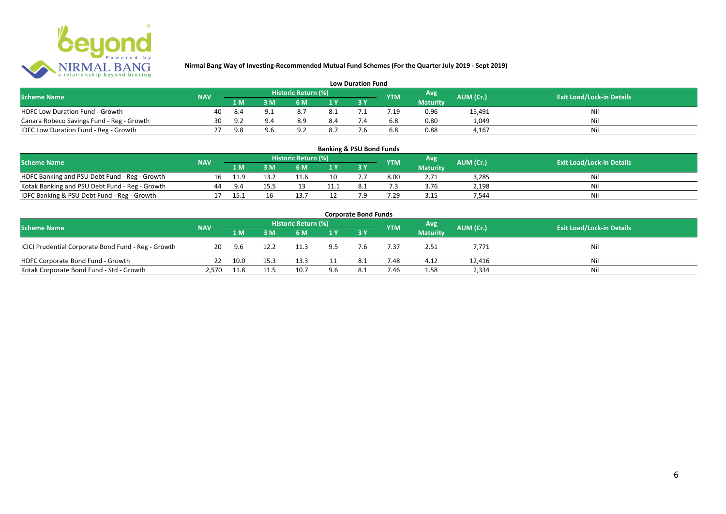

| <b>Low Duration Fund</b>                  |            |     |     |                     |      |  |            |                 |           |                                  |  |  |  |  |
|-------------------------------------------|------------|-----|-----|---------------------|------|--|------------|-----------------|-----------|----------------------------------|--|--|--|--|
| <b>Scheme Name</b>                        | <b>NAV</b> |     |     | Historic Return (%) |      |  | <b>YTM</b> | Avg             | AUM (Cr.) | <b>Exit Load/Lock-in Details</b> |  |  |  |  |
|                                           |            | 1 M |     | 6 M.                |      |  |            | <b>Maturity</b> |           |                                  |  |  |  |  |
| <b>HDFC Low Duration Fund - Growth</b>    | 40         |     | u.  |                     | -8.1 |  |            | 0.96            | 15,491    | Ni                               |  |  |  |  |
| Canara Robeco Savings Fund - Reg - Growth | 30         |     | 9.4 | 8.9                 | 8.4  |  | 6.8        | 0.80            | 1,049     | Ni                               |  |  |  |  |
| IDFC Low Duration Fund - Reg - Growth     |            | 9.8 |     |                     | 8.7  |  | 6.8        | 0.88            | 4.167     | -Ni                              |  |  |  |  |

| <b>Banking &amp; PSU Bond Funds</b>            |            |      |      |                     |                |     |            |                 |           |                                  |  |  |  |
|------------------------------------------------|------------|------|------|---------------------|----------------|-----|------------|-----------------|-----------|----------------------------------|--|--|--|
| <b>Scheme Name</b>                             | <b>NAV</b> |      |      | Historic Return (%) |                |     | <b>YTM</b> | Avg             | AUM (Cr.) | <b>Exit Load/Lock-in Details</b> |  |  |  |
|                                                |            | 1 M  | з м' | 6 M                 | 1 <sub>Y</sub> |     |            | <b>Maturity</b> |           |                                  |  |  |  |
| HDFC Banking and PSU Debt Fund - Reg - Growth  |            | 11.9 | 13.2 | 11.6                |                |     | 8.00       | 2.71            | 3.285     | Nil                              |  |  |  |
| Kotak Banking and PSU Debt Fund - Reg - Growth | 44         | 9.4  | 15 5 |                     |                |     |            | 3.76            | 2.198     | Nil                              |  |  |  |
| IDFC Banking & PSU Debt Fund - Reg - Growth    |            | 15.1 | Τp   |                     |                | ה ד | '.29       | 3.15            | 544.      | Nil                              |  |  |  |

| <b>Corporate Bond Funds</b>                         |            |        |      |      |     |     |            |                 |           |                                  |  |  |  |
|-----------------------------------------------------|------------|--------|------|------|-----|-----|------------|-----------------|-----------|----------------------------------|--|--|--|
| <b>Scheme Name</b>                                  | <b>NAV</b> |        |      |      |     |     | <b>YTM</b> | <b>Avg</b>      | AUM (Cr.) | <b>Exit Load/Lock-in Details</b> |  |  |  |
|                                                     |            | /1 M / | 3 M  | 6 M  | 1Y  |     |            | <b>Maturity</b> |           |                                  |  |  |  |
| ICICI Prudential Corporate Bond Fund - Reg - Growth | 20         | 9.6    | 12.2 | 11.3 | 9.5 | 7.6 | 7.37       | 2.51            | 7,771     | Nil                              |  |  |  |
| HDFC Corporate Bond Fund - Growth                   |            | 10.0   | 15.3 | 13.3 |     |     | 7.48       | 4.12            | 12,416    | Ni                               |  |  |  |
| Kotak Corporate Bond Fund - Std - Growth            | 2,570      | 11.8   | 11.5 | 10.7 | 9.6 | 8.1 | 7.46       | 1.58            | 2,334     | Ni                               |  |  |  |